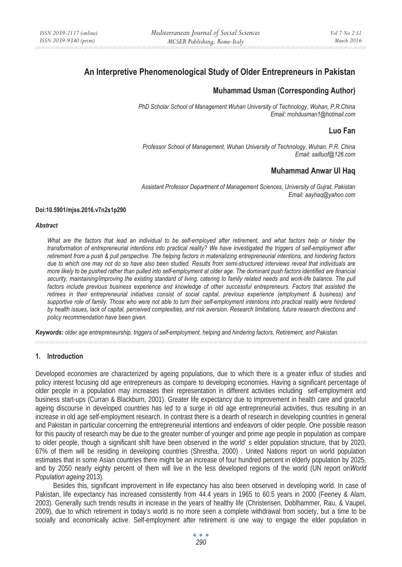# **An Interpretive Phenomenological Study of Older Entrepreneurs in Pakistan**

# **Muhammad Usman (Corresponding Author)**

*PhD Scholar School of Management Wuhan University of Technology, Wuhan, P.R.China Email: mohdusman1@hotmail.com* 

# **Luo Fan**

*Professor School of Management, Wuhan University of Technology, Wuhan, P.R. China Email: sailluof@126.com* 

# **Muhammad Anwar Ul Haq**

*Assistant Professor Department of Management Sciences, University of Gujrat, Pakistan Email: aayhaq@yahoo.com* 

#### **Doi:10.5901/mjss.2016.v7n2s1p290**

#### *Abstract*

*What are the factors that lead an individual to be self-employed after retirement, and what factors help or hinder the transformation of entrepreneurial intentions into practical reality? We have investigated the triggers of self-employment after retirement from a push & pull perspective. The helping factors in materializing entrepreneurial intentions, and hindering factors due to which one may not do so have also been studied. Results from semi-structured interviews reveal that individuals are more likely to be pushed rather than pulled into self-employment at older age. The dominant push factors identified are financial*  security, maintaining/improving the existing standard of living, catering to family related needs and work-life balance. The pull factors include previous business experience and knowledge of other successful entrepreneurs. Factors that assisted the *retirees in their entrepreneurial initiatives consist of social capital, previous experience (employment & business) and supportive role of family. Those who were not able to turn their self-employment intentions into practical reality were hindered by health issues, lack of capital, perceived complexities, and risk aversion. Research limitations, future research directions and policy recommendation have been given.* 

*Keywords: older age entrepreneurship, triggers of self-employment, helping and hindering factors, Retirement, and Pakistan.*

#### **1. Introduction**

Developed economies are characterized by ageing populations, due to which there is a greater influx of studies and policy interest focusing old age entrepreneurs as compare to developing economies. Having a significant percentage of older people in a population may increases their representation in different activities including self-employment and business start-ups (Curran & Blackburn, 2001). Greater life expectancy due to improvement in health care and graceful ageing discourse in developed countries has led to a surge in old age entrepreneurial activities, thus resulting in an increase in old age self-employment research. In contrast there is a dearth of research in developing countries in general and Pakistan in particular concerning the entrepreneurial intentions and endeavors of older people. One possible reason for this paucity of research may be due to the greater number of younger and prime age people in population as compare to older people, though a significant shift have been observed in the world' s elder population structure, that by 2020, 67% of them will be residing in developing countries (Shrestha, 2000) . United Nations report on world population estimates that in some Asian countries there might be an increase of four hundred percent in elderly population by 2025, and by 2050 nearly eighty percent of them will live in the less developed regions of the world (UN report on*World Population ageing* 2013).

Besides this, significant improvement in life expectancy has also been observed in developing world. In case of Pakistan, life expectancy has increased consistently from 44.4 years in 1965 to 60.5 years in 2000 (Feeney & Alam, 2003). Generally such trends results in increase in the years of healthy life (Christensen, Doblhammer, Rau, & Vaupel, 2009), due to which retirement in today's world is no more seen a complete withdrawal from society, but a time to be socially and economically active. Self-employment after retirement is one way to engage the elder population in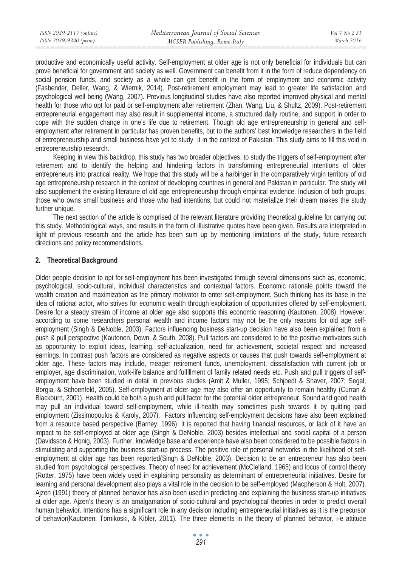productive and economically useful activity. Self-employment at older age is not only beneficial for individuals but can prove beneficial for government and society as well. Government can benefit from it in the form of reduce dependency on social pension funds, and society as a whole can get benefit in the form of employment and economic activity (Fasbender, Deller, Wang, & Wiernik, 2014). Post-retirement employment may lead to greater life satisfaction and psychological well being (Wang, 2007). Previous longitudinal studies have also reported improved physical and mental health for those who opt for paid or self-employment after retirement (Zhan, Wang, Liu, & Shultz, 2009). Post-retirement entrepreneurial engagement may also result in supplemental income, a structured daily routine, and support in order to cope with the sudden change in one's life due to retirement. Though old age entrepreneurship in general and selfemployment after retirement in particular has proven benefits, but to the authors' best knowledge researchers in the field of entrepreneurship and small business have yet to study it in the context of Pakistan. This study aims to fill this void in entrepreneurship research.

Keeping in view this backdrop, this study has two broader objectives, to study the triggers of self-employment after retirement and to identify the helping and hindering factors in transforming entrepreneurial intentions of older entrepreneurs into practical reality. We hope that this study will be a harbinger in the comparatively virgin territory of old age entrepreneurship research in the context of developing countries in general and Pakistan in particular. The study will also supplement the existing literature of old age entrepreneurship through empirical evidence. Inclusion of both groups, those who owns small business and those who had intentions, but could not materialize their dream makes the study further unique.

The next section of the article is comprised of the relevant literature providing theoretical guideline for carrying out this study. Methodological ways, and results in the form of illustrative quotes have been given. Results are interpreted in light of previous research and the article has been sum up by mentioning limitations of the study, future research directions and policy recommendations.

# **2. Theoretical Background**

Older people decision to opt for self-employment has been investigated through several dimensions such as, economic, psychological, socio-cultural, individual characteristics and contextual factors. Economic rationale points toward the wealth creation and maximization as the primary motivator to enter self-employment. Such thinking has its base in the idea of rational actor, who strives for economic wealth through exploitation of opportunities offered by self-employment. Desire for a steady stream of income at older age also supports this economic reasoning (Kautonen, 2008). However, according to some researchers personal wealth and income factors may not be the only reasons for old age selfemployment (Singh & DeNoble, 2003). Factors influencing business start-up decision have also been explained from a push & pull perspective (Kautonen, Down, & South, 2008). Pull factors are considered to be the positive motivators such as opportunity to exploit ideas, learning, self-actualization, need for achievement, societal respect and increased earnings. In contrast push factors are considered as negative aspects or causes that push towards self-employment at older age. These factors may include, meager retirement funds, unemployment, dissatisfaction with current job or employer, age discrimination, work-life balance and fulfillment of family related needs etc. Push and pull triggers of selfemployment have been studied in detail in previous studies (Amit & Muller, 1995; Schjoedt & Shaver, 2007; Segal, Borgia, & Schoenfeld, 2005). Self-employment at older age may also offer an opportunity to remain healthy (Curran & Blackburn, 2001). Health could be both a push and pull factor for the potential older entrepreneur. Sound and good health may pull an individual toward self-employment, while ill-health may sometimes push towards it by quitting paid employment (Zissimopoulos & Karoly, 2007). Factors influencing self-employment decisions have also been explained from a resource based perspective (Barney, 1996). It is reported that having financial resources, or lack of it have an impact to be self-employed at older age (Singh & DeNoble, 2003) besides intellectual and social capital of a person (Davidsson & Honig, 2003). Further, knowledge base and experience have also been considered to be possible factors in stimulating and supporting the business start-up process. The positive role of personal networks in the likelihood of selfemployment at older age has been reported(Singh & DeNoble, 2003). Decision to be an entrepreneur has also been studied from psychological perspectives. Theory of need for achievement (McClelland, 1965) and locus of control theory (Rotter, 1975) have been widely used in explaining personality as determinant of entrepreneurial initiatives. Desire for learning and personal development also plays a vital role in the decision to be self-employed (Macpherson & Holt, 2007). Ajzen (1991) theory of planned behavior has also been used in predicting and explaining the business start-up initiatives at older age. Ajzen's theory is an amalgamation of socio-cultural and psychological theories in order to predict overall human behavior. Intentions has a significant role in any decision including entrepreneurial initiatives as it is the precursor of behavior(Kautonen, Tornikoski, & Kibler, 2011). The three elements in the theory of planned behavior, i-e attitude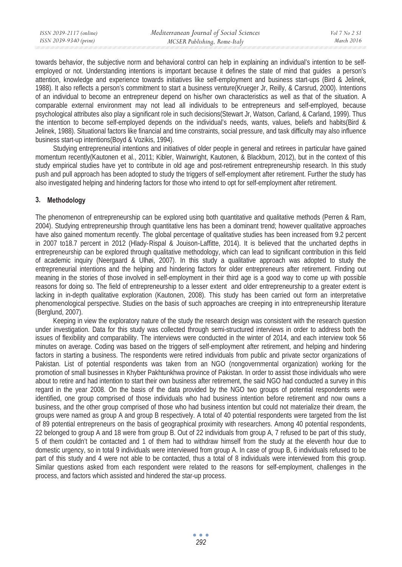towards behavior, the subjective norm and behavioral control can help in explaining an individual's intention to be selfemployed or not. Understanding intentions is important because it defines the state of mind that guides a person's attention, knowledge and experience towards initiatives like self-employment and business start-ups (Bird & Jelinek, 1988). It also reflects a person's commitment to start a business venture(Krueger Jr, Reilly, & Carsrud, 2000). Intentions of an individual to become an entrepreneur depend on his/her own characteristics as well as that of the situation. A comparable external environment may not lead all individuals to be entrepreneurs and self-employed, because psychological attributes also play a significant role in such decisions(Stewart Jr, Watson, Carland, & Carland, 1999). Thus the intention to become self-employed depends on the individual's needs, wants, values, beliefs and habits(Bird & Jelinek, 1988). Situational factors like financial and time constraints, social pressure, and task difficulty may also influence business start-up intentions(Boyd & Vozikis, 1994).

Studying entrepreneurial intentions and initiatives of older people in general and retirees in particular have gained momentum recently(Kautonen et al., 2011; Kibler, Wainwright, Kautonen, & Blackburn, 2012), but in the context of this study empirical studies have yet to contribute in old age and post-retirement entrepreneurship research. In this study push and pull approach has been adopted to study the triggers of self-employment after retirement. Further the study has also investigated helping and hindering factors for those who intend to opt for self-employment after retirement.

# **3. Methodology**

The phenomenon of entrepreneurship can be explored using both quantitative and qualitative methods (Perren & Ram, 2004). Studying entrepreneurship through quantitative lens has been a dominant trend; however qualitative approaches have also gained momentum recently. The global percentage of qualitative studies has been increased from 9.2 percent in 2007 to18.7 percent in 2012 (Hlady-Rispal & Jouison-Laffitte, 2014). It is believed that the uncharted depths in entrepreneurship can be explored through qualitative methodology, which can lead to significant contribution in this field of academic inquiry (Neergaard & Ulhøi, 2007). In this study a qualitative approach was adopted to study the entrepreneurial intentions and the helping and hindering factors for older entrepreneurs after retirement. Finding out meaning in the stories of those involved in self-employment in their third age is a good way to come up with possible reasons for doing so. The field of entrepreneurship to a lesser extent and older entrepreneurship to a greater extent is lacking in in-depth qualitative exploration (Kautonen, 2008). This study has been carried out form an interpretative phenomenological perspective. Studies on the basis of such approaches are creeping in into entrepreneurship literature (Berglund, 2007).

Keeping in view the exploratory nature of the study the research design was consistent with the research question under investigation. Data for this study was collected through semi-structured interviews in order to address both the issues of flexibility and comparability. The interviews were conducted in the winter of 2014, and each interview took 56 minutes on average. Coding was based on the triggers of self-employment after retirement, and helping and hindering factors in starting a business. The respondents were retired individuals from public and private sector organizations of Pakistan. List of potential respondents was taken from an NGO (nongovernmental organization) working for the promotion of small businesses in Khyber Pakhtunkhwa province of Pakistan. In order to assist those individuals who were about to retire and had intention to start their own business after retirement, the said NGO had conducted a survey in this regard in the year 2008. On the basis of the data provided by the NGO two groups of potential respondents were identified, one group comprised of those individuals who had business intention before retirement and now owns a business, and the other group comprised of those who had business intention but could not materialize their dream, the groups were named as group A and group B respectively. A total of 40 potential respondents were targeted from the list of 89 potential entrepreneurs on the basis of geographical proximity with researchers. Among 40 potential respondents, 22 belonged to group A and 18 were from group B. Out of 22 individuals from group A, 7 refused to be part of this study, 5 of them couldn't be contacted and 1 of them had to withdraw himself from the study at the eleventh hour due to domestic urgency, so in total 9 individuals were interviewed from group A. In case of group B, 6 individuals refused to be part of this study and 4 were not able to be contacted, thus a total of 8 individuals were interviewed from this group. Similar questions asked from each respondent were related to the reasons for self-employment, challenges in the process, and factors which assisted and hindered the star-up process.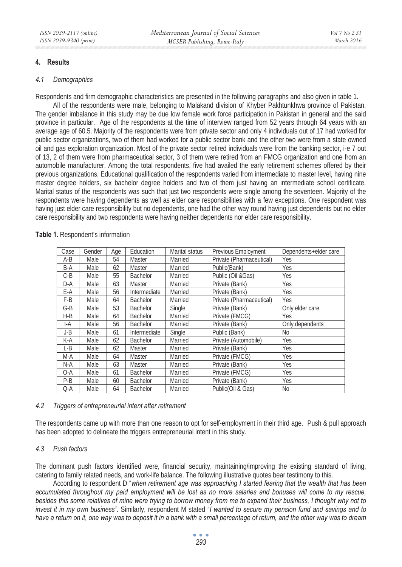# **4. Results**

#### *4.1 Demographics*

Respondents and firm demographic characteristics are presented in the following paragraphs and also given in table 1.

All of the respondents were male, belonging to Malakand division of Khyber Pakhtunkhwa province of Pakistan. The gender imbalance in this study may be due low female work force participation in Pakistan in general and the said province in particular. Age of the respondents at the time of interview ranged from 52 years through 64 years with an average age of 60.5. Majority of the respondents were from private sector and only 4 individuals out of 17 had worked for public sector organizations, two of them had worked for a public sector bank and the other two were from a state owned oil and gas exploration organization. Most of the private sector retired individuals were from the banking sector, i-e 7 out of 13, 2 of them were from pharmaceutical sector, 3 of them were retired from an FMCG organization and one from an automobile manufacturer. Among the total respondents, five had availed the early retirement schemes offered by their previous organizations. Educational qualification of the respondents varied from intermediate to master level, having nine master degree holders, six bachelor degree holders and two of them just having an intermediate school certificate. Marital status of the respondents was such that just two respondents were single among the seventeen. Majority of the respondents were having dependents as well as elder care responsibilities with a few exceptions. One respondent was having just elder care responsibility but no dependents, one had the other way round having just dependents but no elder care responsibility and two respondents were having neither dependents nor elder care responsibility.

| Case  | Gender | Age | Education       | Marital status | Previous Employment      | Dependents+elder care |
|-------|--------|-----|-----------------|----------------|--------------------------|-----------------------|
| $A-B$ | Male   | 54  | Master          | Married        | Private (Pharmaceutical) | Yes                   |
| B-A   | Male   | 62  | Master          | Married        | Public(Bank)             | Yes                   |
| $C-B$ | Male   | 55  | <b>Bachelor</b> | Married        | Public (Oil &Gas)        | Yes                   |
| D-A   | Male   | 63  | Master          | Married        | Private (Bank)           | Yes                   |
| E-A   | Male   | 56  | Intermediate    | Married        | Private (Bank)           | Yes                   |
| F-B   | Male   | 64  | Bachelor        | Married        | Private (Pharmaceutical) | Yes                   |
| $G-B$ | Male   | 53  | Bachelor        | Single         | Private (Bank)           | Only elder care       |
| $H-B$ | Male   | 64  | <b>Bachelor</b> | Married        | Private (FMCG)           | Yes                   |
| I-A   | Male   | 56  | <b>Bachelor</b> | Married        | Private (Bank)           | Only dependents       |
| J-B   | Male   | 61  | Intermediate    | Single         | Public (Bank)            | No                    |
| K-A   | Male   | 62  | <b>Bachelor</b> | Married        | Private (Automobile)     | Yes                   |
| L-B   | Male   | 62  | Master          | Married        | Private (Bank)           | Yes                   |
| M-A   | Male   | 64  | Master          | Married        | Private (FMCG)           | Yes                   |
| N-A   | Male   | 63  | Master          | Married        | Private (Bank)           | Yes                   |
| O-A   | Male   | 61  | <b>Bachelor</b> | Married        | Private (FMCG)           | Yes                   |
| P-B   | Male   | 60  | Bachelor        | Married        | Private (Bank)           | Yes                   |
| Q-A   | Male   | 64  | <b>Bachelor</b> | Married        | Public(Oil & Gas)        | No                    |

#### Table 1. Respondent's information

#### *4.2 Triggers of entrepreneurial intent after retirement*

The respondents came up with more than one reason to opt for self-employment in their third age.Push & pull approach has been adopted to delineate the triggers entrepreneurial intent in this study.

#### *4.3 Push factors*

The dominant push factors identified were, financial security, maintaining/improving the existing standard of living, catering to family related needs, and work-life balance. The following illustrative quotes bear testimony to this.

According to respondent D "*when retirement age was approaching I started fearing that the wealth that has been accumulated throughout my paid employment will be lost as no more salaries and bonuses will come to my rescue,*  besides this some relatives of mine were trying to borrow money from me to expand their business, I thought why not to *invest it in my own business"*. Similarly, respondent M stated "*I wanted to secure my pension fund and savings and to have a return on it, one way was to deposit it in a bank with a small percentage of return, and the other way was to dream*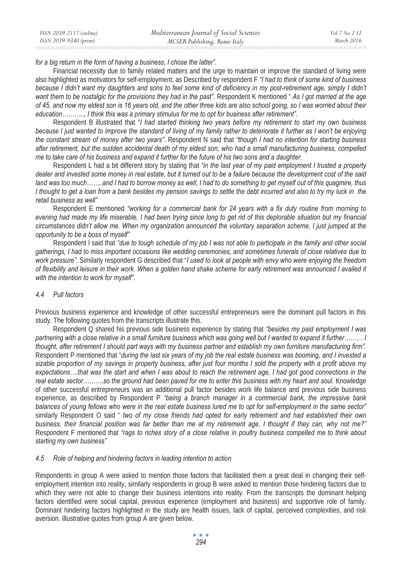*for a big return in the form of having a business, I chose the latter"*.

Financial necessity due to family related matters and the urge to maintain or improve the standard of living were also highlighted as motivators for self-employment, as Described by respondent F *"I had to think of some kind of business*  because I didn't want my daughters and sons to feel some kind of deficiency in my post-retirement age, simply I didn't *want them to be nostalgic for the provisions they had in the past"*. Respondent K mentioned " *As I got married at the age of 45, and now my eldest son is 16 years old, and the other three kids are also school going, so I was worried about their education……….., I think this was a primary stimulus for me to opt for business after retirement".* 

Respondent B illustrated that "*I had started thinking two years before my retirement to start my own business because I just wanted to improve the standard of living of my family rather to deteriorate it further as I won't be enjoying the constant stream of money after two years"*. Respondent N said that *"though I had no intention for starting business after retirement, but the sudden accidental death of my eldest son, who had a small manufacturing business, compelled me to take care of his business and expand it further for the future of his two sons and a daughter*.

Respondent L had a bit different story by stating that *"in the last year of my paid employment I trusted a property dealer and invested some money in real estate, but it turned out to be a failure because the development cost of the said land was too much……..and I had to borrow money as well, I had to do something to get myself out of this quagmire, thus I thought to get a loan from a bank besides my pension savings to settle the debt incurred and also to try my luck in the retail business as well"* 

Respondent E mentioned *"working for a commercial bank for 24 years with a fix duty routine from morning to evening had made my life miserable, I had been trying since long to get rid of this deplorable situation but my financial circumstances didn't allow me. When my organization announced the voluntary separation scheme, I just jumped at the opportunity to be a boss of myself"* 

Respondent I said that *"due to tough schedule of my job I was not able to participate in the family and other social gatherings, I had to miss important occasions like wedding ceremonies, and sometimes funerals of close relatives due to work pressure"*. Similarly respondent G described that "*I used to look at people with envy who were enjoying the freedom of flexibility and leisure in their work. When a golden hand shake scheme for early retirement was announced I availed it with the intention to work for myself".* 

#### *4.4 Pull factors*

Previous business experience and knowledge of other successful entrepreneurs were the dominant pull factors in this study. The following quotes from the transcripts illustrate this.

Respondent Q shared his previous side business experience by stating that *"besides my paid employment I was partnering with a close relative in a small furniture business which was going well but I wanted to expand it further……… I thought, after retirement I should part ways with my business partner and establish my own furniture manufacturing firm".*  Respondent P mentioned that "*during the last six years of my job the real estate business was booming, and I invested a sizable proportion of my savings in property business, after just four months I sold the property with a profit above my expectations….that was the start and when I was about to reach the retirement age, I had got good connections in the real estate sector……….so the ground had been paved for me to enter this business with my heart and soul.* Knowledge of other successful entrepreneurs was an additional pull factor besides work life balance and previous side business experience, as described by Respondent P *"being a branch manager in a commercial bank, the impressive bank balances of young fellows who were in the real estate business lured me to opt for self-employment in the same sector"*  similarly Respondent O said " *two of my close friends had opted for early retirement and had established their own business, their financial position was far better than me at my retirement age, I thought if they can, why not me?"*  Respondent F mentioned that *"rags to riches story of a close relative in poultry business compelled me to think about starting my own business"*

#### *4.5 Role of helping and hindering factors in leading intention to action*

Respondents in group A were asked to mention those factors that facilitated them a great deal in changing their selfemployment intention into reality, similarly respondents in group B were asked to mention those hindering factors due to which they were not able to change their business intentions into reality. From the transcripts the dominant helping factors identified were social capital, previous experience (employment and business) and supportive role of family. Dominant hindering factors highlighted in the study are health issues, lack of capital, perceived complexities, and risk aversion. Illustrative quotes from group A are given below.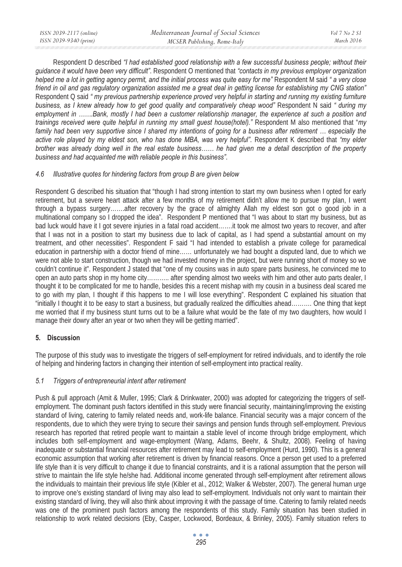Respondent D described *"I had established good relationship with a few successful business people; without their guidance it would have been very difficult"*. Respondent O mentioned that *"contacts in my previous employer organization helped me a lot in getting agency permit, and the initial process was quite easy for me"* Respondent M said *" a very close friend in oil and gas regulatory organization assisted me a great deal in getting license for establishing my CNG station"* Respondent Q said *" my previous partnership experience proved very helpful in starting and running my existing furniture business, as I knew already how to get good quality and comparatively cheap wood"* Respondent N said *" during my employment in …….Bank, mostly I had been a customer relationship manager, the experience at such a position and trainings received were quite helpful in running my small guest house(hotel)."* Respondent M also mentioned that "*my*  family had been very supportive since I shared my intentions of going for a business after retirement ... especially the *active role played by my eldest son, who has done MBA, was very helpful"*. Respondent K described that *"my elder brother was already doing well in the real estate business…… he had given me a detail description of the property business and had acquainted me with reliable people in this business"*.

## *4.6 Illustrative quotes for hindering factors from group B are given below*

Respondent G described his situation that "though I had strong intention to start my own business when I opted for early retirement, but a severe heart attack after a few months of my retirement didn't allow me to pursue my plan, I went through a bypass surgery…….after recovery by the grace of almighty Allah my eldest son got o good job in a multinational company so I dropped the idea". Respondent P mentioned that "I was about to start my business, but as bad luck would have it I got severe injuries in a fatal road accident…….it took me almost two years to recover, and after that I was not in a position to start my business due to lack of capital, as I had spend a substantial amount on my treatment, and other necessities". Respondent F said "I had intended to establish a private college for paramedical education in partnership with a doctor friend of mine…… unfortunately we had bought a disputed land, due to which we were not able to start construction, though we had invested money in the project, but were running short of money so we couldn't continue it". Respondent J stated that "one of my cousins was in auto spare parts business, he convinced me to open an auto parts shop in my home city……….. after spending almost two weeks with him and other auto parts dealer, I thought it to be complicated for me to handle, besides this a recent mishap with my cousin in a business deal scared me to go with my plan, I thought if this happens to me I will lose everything". Respondent C explained his situation that "initially I thought it to be easy to start a business, but gradually realized the difficulties ahead………. One thing that kept me worried that if my business stunt turns out to be a failure what would be the fate of my two daughters, how would I manage their dowry after an year or two when they will be getting married".

# **5. Discussion**

The purpose of this study was to investigate the triggers of self-employment for retired individuals, and to identify the role of helping and hindering factors in changing their intention of self-employment into practical reality.

# *5.1 Triggers of entrepreneurial intent after retirement*

Push & pull approach (Amit & Muller, 1995; Clark & Drinkwater, 2000) was adopted for categorizing the triggers of selfemployment. The dominant push factors identified in this study were financial security, maintaining/improving the existing standard of living, catering to family related needs and, work-life balance. Financial security was a major concern of the respondents, due to which they were trying to secure their savings and pension funds through self-employment. Previous research has reported that retired people want to maintain a stable level of income through bridge employment, which includes both self-employment and wage-employment (Wang, Adams, Beehr, & Shultz, 2008). Feeling of having inadequate or substantial financial resources after retirement may lead to self-employment (Hurd, 1990). This is a general economic assumption that working after retirement is driven by financial reasons. Once a person get used to a preferred life style than it is very difficult to change it due to financial constraints, and it is a rational assumption that the person will strive to maintain the life style he/she had. Additional income generated through self-employment after retirement allows the individuals to maintain their previous life style (Kibler et al., 2012; Walker & Webster, 2007). The general human urge to improve one's existing standard of living may also lead to self-employment. Individuals not only want to maintain their existing standard of living, they will also think about improving it with the passage of time. Catering to family related needs was one of the prominent push factors among the respondents of this study. Family situation has been studied in relationship to work related decisions (Eby, Casper, Lockwood, Bordeaux, & Brinley, 2005). Family situation refers to

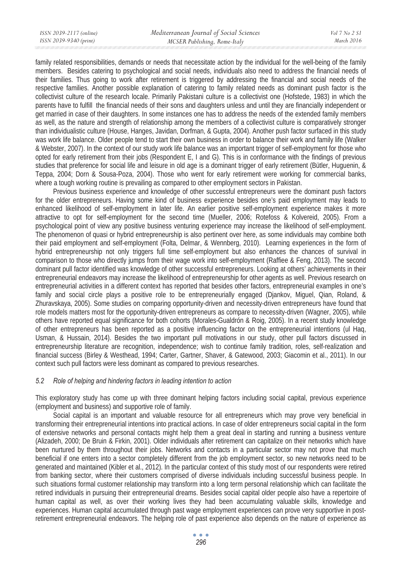family related responsibilities, demands or needs that necessitate action by the individual for the well-being of the family members. Besides catering to psychological and social needs, individuals also need to address the financial needs of their families. Thus going to work after retirement is triggered by addressing the financial and social needs of the respective families. Another possible explanation of catering to family related needs as dominant push factor is the collectivist culture of the research locale. Primarily Pakistani culture is a collectivist one (Hofstede, 1983) in which the parents have to fulfill the financial needs of their sons and daughters unless and until they are financially independent or get married in case of their daughters. In some instances one has to address the needs of the extended family members as well, as the nature and strength of relationship among the members of a collectivist culture is comparatively stronger than individualistic culture (House, Hanges, Javidan, Dorfman, & Gupta, 2004). Another push factor surfaced in this study was work life balance. Older people tend to start their own business in order to balance their work and family life (Walker & Webster, 2007). In the context of our study work life balance was an important trigger of self-employment for those who opted for early retirement from their jobs (Respondent E, I and G). This is in conformance with the findings of previous studies that preference for social life and leisure in old age is a dominant trigger of early retirement (Bütler, Huguenin, & Teppa, 2004; Dorn & Sousa-Poza, 2004). Those who went for early retirement were working for commercial banks, where a tough working routine is prevailing as compared to other employment sectors in Pakistan.

Previous business experience and knowledge of other successful entrepreneurs were the dominant push factors for the older entrepreneurs. Having some kind of business experience besides one's paid employment may leads to enhanced likelihood of self-employment in later life. An earlier positive self-employment experience makes it more attractive to opt for self-employment for the second time (Mueller, 2006; Rotefoss & Kolvereid, 2005). From a psychological point of view any positive business venturing experience may increase the likelihood of self-employment. The phenomenon of quasi or hybrid entrepreneurship is also pertinent over here, as some individuals may combine both their paid employment and self-employment (Folta, Delmar, & Wennberg, 2010). Learning experiences in the form of hybrid entrepreneurship not only triggers full time self-employment but also enhances the chances of survival in comparison to those who directly jumps from their wage work into self-employment (Raffiee & Feng, 2013). The second dominant pull factor identified was knowledge of other successful entrepreneurs. Looking at others' achievements in their entrepreneurial endeavors may increase the likelihood of entrepreneurship for other agents as well. Previous research on entrepreneurial activities in a different context has reported that besides other factors, entrepreneurial examples in one's family and social circle plays a positive role to be entrepreneurially engaged (Djankov, Miguel, Qian, Roland, & Zhuravskaya, 2005). Some studies on comparing opportunity-driven and necessity-driven entrepreneurs have found that role models matters most for the opportunity-driven entrepreneurs as compare to necessity-driven (Wagner, 2005), while others have reported equal significance for both cohorts (Morales-Gualdrón & Roig, 2005). In a recent study knowledge of other entrepreneurs has been reported as a positive influencing factor on the entrepreneurial intentions (ul Haq, Usman, & Hussain, 2014). Besides the two important pull motivations in our study, other pull factors discussed in entrepreneurship literature are recognition, independence; wish to continue family tradition, roles, self-realization and financial success (Birley & Westhead, 1994; Carter, Gartner, Shaver, & Gatewood, 2003; Giacomin et al., 2011). In our context such pull factors were less dominant as compared to previous researches.

### *5.2 Role of helping and hindering factors in leading intention to action*

This exploratory study has come up with three dominant helping factors including social capital, previous experience (employment and business) and supportive role of family.

Social capital is an important and valuable resource for all entrepreneurs which may prove very beneficial in transforming their entrepreneurial intentions into practical actions. In case of older entrepreneurs social capital in the form of extensive networks and personal contacts might help them a great deal in starting and running a business venture (Alizadeh, 2000; De Bruin & Firkin, 2001). Older individuals after retirement can capitalize on their networks which have been nurtured by them throughout their jobs. Networks and contacts in a particular sector may not prove that much beneficial if one enters into a sector completely different from the job employment sector, so new networks need to be generated and maintained (Kibler et al., 2012). In the particular context of this study most of our respondents were retired from banking sector, where their customers comprised of diverse individuals including successful business people. In such situations formal customer relationship may transform into a long term personal relationship which can facilitate the retired individuals in pursuing their entrepreneurial dreams. Besides social capital older people also have a repertoire of human capital as well, as over their working lives they had been accumulating valuable skills, knowledge and experiences. Human capital accumulated through past wage employment experiences can prove very supportive in postretirement entrepreneurial endeavors. The helping role of past experience also depends on the nature of experience as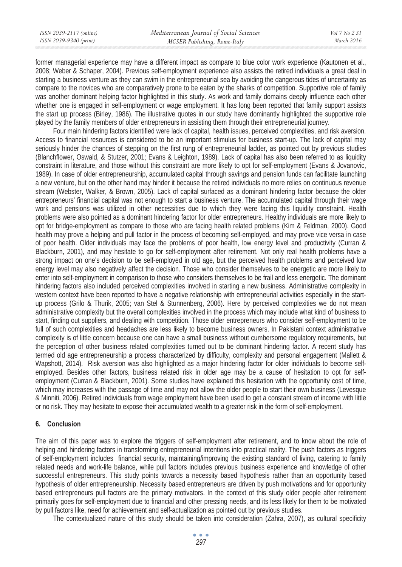former managerial experience may have a different impact as compare to blue color work experience (Kautonen et al., 2008; Weber & Schaper, 2004). Previous self-employment experience also assists the retired individuals a great deal in starting a business venture as they can swim in the entrepreneurial sea by avoiding the dangerous tides of uncertainty as compare to the novices who are comparatively prone to be eaten by the sharks of competition. Supportive role of family was another dominant helping factor highlighted in this study. As work and family domains deeply influence each other whether one is engaged in self-employment or wage employment. It has long been reported that family support assists the start up process (Birley, 1986). The illustrative quotes in our study have dominantly highlighted the supportive role played by the family members of older entrepreneurs in assisting them through their entrepreneurial journey.

Four main hindering factors identified were lack of capital, health issues, perceived complexities, and risk aversion. Access to financial resources is considered to be an important stimulus for business start-up. The lack of capital may seriously hinder the chances of stepping on the first rung of entrepreneurial ladder, as pointed out by previous studies (Blanchflower, Oswald, & Stutzer, 2001; Evans & Leighton, 1989). Lack of capital has also been referred to as liquidity constraint in literature, and those without this constraint are more likely to opt for self-employment (Evans & Jovanovic, 1989). In case of older entrepreneurship, accumulated capital through savings and pension funds can facilitate launching a new venture, but on the other hand may hinder it because the retired individuals no more relies on continuous revenue stream (Webster, Walker, & Brown, 2005). Lack of capital surfaced as a dominant hindering factor because the older entrepreneurs' financial capital was not enough to start a business venture. The accumulated capital through their wage work and pensions was utilized in other necessities due to which they were facing this liquidity constraint. Health problems were also pointed as a dominant hindering factor for older entrepreneurs. Healthy individuals are more likely to opt for bridge-employment as compare to those who are facing health related problems (Kim & Feldman, 2000). Good health may prove a helping and pull factor in the process of becoming self-employed, and may prove vice versa in case of poor health. Older individuals may face the problems of poor health, low energy level and productivity (Curran & Blackburn, 2001), and may hesitate to go for self-employment after retirement. Not only real health problems have a strong impact on one's decision to be self-employed in old age, but the perceived health problems and perceived low energy level may also negatively affect the decision. Those who consider themselves to be energetic are more likely to enter into self-employment in comparison to those who considers themselves to be frail and less energetic. The dominant hindering factors also included perceived complexities involved in starting a new business. Administrative complexity in western context have been reported to have a negative relationship with entrepreneurial activities especially in the startup process (Grilo & Thurik, 2005; van Stel & Stunnenberg, 2006). Here by perceived complexities we do not mean administrative complexity but the overall complexities involved in the process which may include what kind of business to start, finding out suppliers, and dealing with competition. Those older entrepreneurs who consider self-employment to be full of such complexities and headaches are less likely to become business owners. In Pakistani context administrative complexity is of little concern because one can have a small business without cumbersome regulatory requirements, but the perception of other business related complexities turned out to be dominant hindering factor. A recent study has termed old age entrepreneurship a process characterized by difficulty, complexity and personal engagement (Mallett & Wapshott, 2014). Risk aversion was also highlighted as a major hindering factor for older individuals to become selfemployed. Besides other factors, business related risk in older age may be a cause of hesitation to opt for selfemployment (Curran & Blackburn, 2001). Some studies have explained this hesitation with the opportunity cost of time, which may increases with the passage of time and may not allow the older people to start their own business (Levesque & Minniti, 2006). Retired individuals from wage employment have been used to get a constant stream of income with little or no risk. They may hesitate to expose their accumulated wealth to a greater risk in the form of self-employment.

### **6. Conclusion**

The aim of this paper was to explore the triggers of self-employment after retirement, and to know about the role of helping and hindering factors in transforming entrepreneurial intentions into practical reality. The push factors as triggers of self-employment includes financial security, maintaining/improving the existing standard of living, catering to family related needs and work-life balance, while pull factors includes previous business experience and knowledge of other successful entrepreneurs. This study points towards a necessity based hypothesis rather than an opportunity based hypothesis of older entrepreneurship. Necessity based entrepreneurs are driven by push motivations and for opportunity based entrepreneurs pull factors are the primary motivators. In the context of this study older people after retirement primarily goes for self-employment due to financial and other pressing needs, and its less likely for them to be motivated by pull factors like, need for achievement and self-actualization as pointed out by previous studies.

The contextualized nature of this study should be taken into consideration (Zahra, 2007), as cultural specificity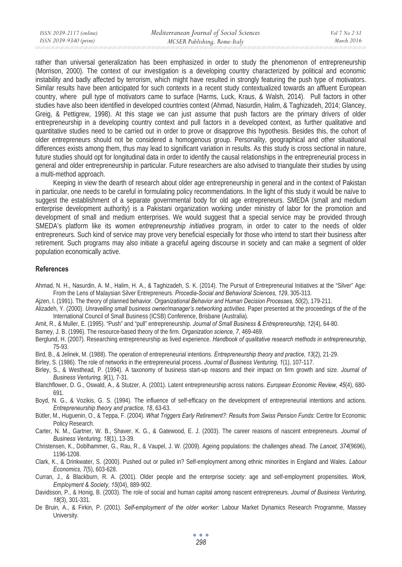rather than universal generalization has been emphasized in order to study the phenomenon of entrepreneurship (Morrison, 2000). The context of our investigation is a developing country characterized by political and economic instability and badly affected by terrorism, which might have resulted in strongly featuring the push type of motivators. Similar results have been anticipated for such contexts in a recent study contextualized towards an affluent European country, where pull type of motivators came to surface (Harms, Luck, Kraus, & Walsh, 2014). Pull factors in other studies have also been identified in developed countries context (Ahmad, Nasurdin, Halim, & Taghizadeh, 2014; Glancey, Greig, & Pettigrew, 1998). At this stage we can just assume that push factors are the primary drivers of older entrepreneurship in a developing country context and pull factors in a developed context, as further qualitative and quantitative studies need to be carried out in order to prove or disapprove this hypothesis. Besides this, the cohort of older entrepreneurs should not be considered a homogenous group. Personality, geographical and other situational differences exists among them, thus may lead to significant variation in results. As this study is cross sectional in nature, future studies should opt for longitudinal data in order to identify the causal relationships in the entrepreneurial process in general and older entrepreneurship in particular. Future researchers are also advised to triangulate their studies by using a multi-method approach.

Keeping in view the dearth of research about older age entrepreneurship in general and in the context of Pakistan in particular, one needs to be careful in formulating policy recommendations. In the light of this study it would be naïve to suggest the establishment of a separate governmental body for old age entrepreneurs. SMEDA (small and medium enterprise development authority) is a Pakistani organization working under ministry of labor for the promotion and development of small and medium enterprises. We would suggest that a special service may be provided through SMEDA's platform like its *women entrepreneurship initiatives* program, in order to cater to the needs of older entrepreneurs. Such kind of service may prove very beneficial especially for those who intend to start their business after retirement. Such programs may also initiate a graceful ageing discourse in society and can make a segment of older population economically active.

#### **References**

- Ahmad, N. H., Nasurdin, A. M., Halim, H. A., & Taghizadeh, S. K. (2014). The Pursuit of Entrepreneurial Initiatives at the "Silver" Age: From the Lens of Malaysian Silver Entrepreneurs. *Procedia-Social and Behavioral Sciences, 129*, 305-313.
- Ajzen, I. (1991). The theory of planned behavior. *Organizational Behavior and Human Decision Processes, 50*(2), 179-211.
- Alizadeh, Y. (2000). *Unravelling small business owner/manager's networking activities.* Paper presented at the proceedings of the of the International Council of Small Business (ICSB) Conference, Brisbane (Australia).
- Amit, R., & Muller, E. (1995). "Push" and "pull" entrepreneurship. *Journal of Small Business & Entrepreneurship, 12*(4), 64-80.
- Barney, J. B. (1996). The resource-based theory of the firm. *Organization science, 7*, 469-469.
- Berglund, H. (2007). Researching entrepreneurship as lived experience. *Handbook of qualitative research methods in entrepreneurship*, 75-93.
- Bird, B., & Jelinek, M. (1988). The operation of entrepreneurial intentions. *Entrepreneurship theory and practice, 13*(2), 21-29.
- Birley, S. (1986). The role of networks in the entrepreneurial process. *Journal of Business Venturing, 1*(1), 107-117.
- Birley, S., & Westhead, P. (1994). A taxonomy of business start-up reasons and their impact on firm growth and size. *Journal of Business Venturing, 9*(1), 7-31.
- Blanchflower, D. G., Oswald, A., & Stutzer, A. (2001). Latent entrepreneurship across nations. *European Economic Review, 45*(4), 680- 691.
- Boyd, N. G., & Vozikis, G. S. (1994). The influence of self-efficacy on the development of entrepreneurial intentions and actions. *Entrepreneurship theory and practice, 18*, 63-63.
- Bütler, M., Huguenin, O., & Teppa, F. (2004). *What Triggers Early Retirement?: Results from Swiss Pension Funds*: Centre for Economic Policy Research.
- Carter, N. M., Gartner, W. B., Shaver, K. G., & Gatewood, E. J. (2003). The career reasons of nascent entrepreneurs. *Journal of Business Venturing, 18*(1), 13-39.
- Christensen, K., Doblhammer, G., Rau, R., & Vaupel, J. W. (2009). Ageing populations: the challenges ahead. *The Lancet, 374*(9696), 1196-1208.
- Clark, K., & Drinkwater, S. (2000). Pushed out or pulled in? Self-employment among ethnic minorities in England and Wales. *Labour Economics, 7*(5), 603-628.
- Curran, J., & Blackburn, R. A. (2001). Older people and the enterprise society: age and self-employment propensities. *Work, Employment & Society, 15*(04), 889-902.
- Davidsson, P., & Honig, B. (2003). The role of social and human capital among nascent entrepreneurs. *Journal of Business Venturing, 18*(3), 301-331.
- De Bruin, A., & Firkin, P. (2001). *Self-employment of the older worker*: Labour Market Dynamics Research Programme, Massey University.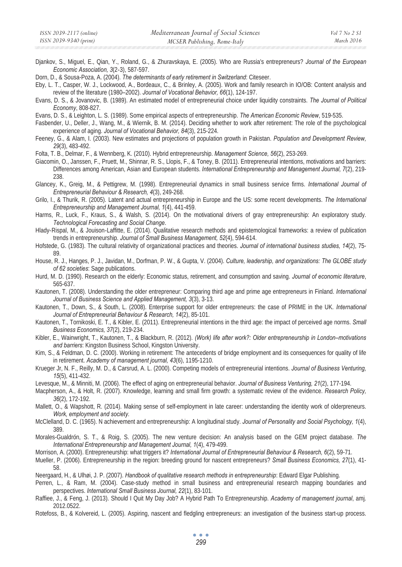Djankov, S., Miguel, E., Qian, Y., Roland, G., & Zhuravskaya, E. (2005). Who are Russia's entrepreneurs? *Journal of the European Economic Association, 3*(2Ǧ3), 587-597.

Dorn, D., & Sousa-Poza, A. (2004). *The determinants of early retirement in Switzerland*: Citeseer.

Eby, L. T., Casper, W. J., Lockwood, A., Bordeaux, C., & Brinley, A. (2005). Work and family research in IO/OB: Content analysis and review of the literature (1980–2002). *Journal of Vocational Behavior, 66*(1), 124-197.

Evans, D. S., & Jovanovic, B. (1989). An estimated model of entrepreneurial choice under liquidity constraints. *The Journal of Political Economy*, 808-827.

Evans, D. S., & Leighton, L. S. (1989). Some empirical aspects of entrepreneurship. *The American Economic Review*, 519-535.

Fasbender, U., Deller, J., Wang, M., & Wiernik, B. M. (2014). Deciding whether to work after retirement: The role of the psychological experience of aging. *Journal of Vocational Behavior, 84*(3), 215-224.

Feeney, G., & Alam, I. (2003). New estimates and projections of population growth in Pakistan. *Population and Development Review, 29*(3), 483-492.

Folta, T. B., Delmar, F., & Wennberg, K. (2010). Hybrid entrepreneurship. *Management Science, 56*(2), 253-269.

Giacomin, O., Janssen, F., Pruett, M., Shinnar, R. S., Llopis, F., & Toney, B. (2011). Entrepreneurial intentions, motivations and barriers: Differences among American, Asian and European students. *International Entrepreneurship and Management Journal, 7*(2), 219- 238.

Glancey, K., Greig, M., & Pettigrew, M. (1998). Entrepreneurial dynamics in small business service firms. *International Journal of Entrepreneurial Behaviour & Research, 4*(3), 249-268.

Grilo, I., & Thurik, R. (2005). Latent and actual entrepreneurship in Europe and the US: some recent developments. *The International Entrepreneurship and Management Journal, 1*(4), 441-459.

Harms, R., Luck, F., Kraus, S., & Walsh, S. (2014). On the motivational drivers of gray entrepreneurship: An exploratory study. *Technological Forecasting and Social Change*.

Hlady-Rispal, M., & Jouison-Laffitte, E. (2014). Qualitative research methods and epistemological frameworks: a review of publication trends in entrepreneurship. *Journal of Small Business Management, 52*(4), 594-614.

Hofstede, G. (1983). The cultural relativity of organizational practices and theories. *Journal of international business studies, 14*(2), 75- 89.

House, R. J., Hanges, P. J., Javidan, M., Dorfman, P. W., & Gupta, V. (2004). *Culture, leadership, and organizations: The GLOBE study of 62 societies*: Sage publications.

Hurd, M. D. (1990). Research on the elderly: Economic status, retirement, and consumption and saving. *Journal of economic literature*, 565-637.

Kautonen, T. (2008). Understanding the older entrepreneur: Comparing third age and prime age entrepreneurs in Finland. *International Journal of Business Science and Applied Management, 3*(3), 3-13.

Kautonen, T., Down, S., & South, L. (2008). Enterprise support for older entrepreneurs: the case of PRIME in the UK. *International Journal of Entrepreneurial Behaviour & Research, 14*(2), 85-101.

Kautonen, T., Tornikoski, E. T., & Kibler, E. (2011). Entrepreneurial intentions in the third age: the impact of perceived age norms. *Small Business Economics, 37*(2), 219-234.

Kibler, E., Wainwright, T., Kautonen, T., & Blackburn, R. (2012). *(Work) life after work?: Older entrepreneurship in London–motivations and barriers*: Kingston Business School, Kingston University.

Kim, S., & Feldman, D. C. (2000). Working in retirement: The antecedents of bridge employment and its consequences for quality of life in retirement. *Academy of management journal, 43*(6), 1195-1210.

Krueger Jr, N. F., Reilly, M. D., & Carsrud, A. L. (2000). Competing models of entrepreneurial intentions. *Journal of Business Venturing, 15*(5), 411-432.

Levesque, M., & Minniti, M. (2006). The effect of aging on entrepreneurial behavior. *Journal of Business Venturing, 21*(2), 177-194.

Macpherson, A., & Holt, R. (2007). Knowledge, learning and small firm growth: a systematic review of the evidence. *Research Policy, 36*(2), 172-192.

Mallett, O., & Wapshott, R. (2014). Making sense of self-employment in late career: understanding the identity work of olderpreneurs. *Work, employment and society.*

McClelland, D. C. (1965). N achievement and entrepreneurship: A longitudinal study. *Journal of Personality and Social Psychology, 1*(4), 389.

Morales-Gualdrón, S. T., & Roig, S. (2005). The new venture decision: An analysis based on the GEM project database. *The International Entrepreneurship and Management Journal, 1*(4), 479-499.

Morrison, A. (2000). Entrepreneurship: what triggers it? *International Journal of Entrepreneurial Behaviour & Research, 6*(2), 59-71.

Mueller, P. (2006). Entrepreneurship in the region: breeding ground for nascent entrepreneurs? *Small Business Economics, 27*(1), 41- 58.

Neergaard, H., & Ulhøi, J. P. (2007). *Handbook of qualitative research methods in entrepreneurship*: Edward Elgar Publishing.

Perren, L., & Ram, M. (2004). Case-study method in small business and entrepreneurial research mapping boundaries and perspectives. *International Small Business Journal, 22*(1), 83-101.

Raffiee, J., & Feng, J. (2013). Should I Quit My Day Job? A Hybrid Path To Entrepreneurship. *Academy of management journal*, amj. 2012.0522.

Rotefoss, B., & Kolvereid, L. (2005). Aspiring, nascent and fledgling entrepreneurs: an investigation of the business start-up process.